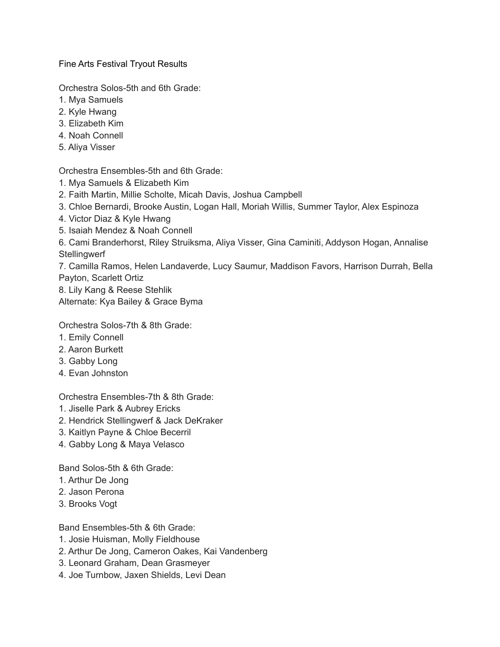Fine Arts Festival Tryout Results

Orchestra Solos-5th and 6th Grade:

- 1. Mya Samuels
- 2. Kyle Hwang
- 3. Elizabeth Kim
- 4. Noah Connell
- 5. Aliya Visser

Orchestra Ensembles-5th and 6th Grade:

- 1. Mya Samuels & Elizabeth Kim
- 2. Faith Martin, Millie Scholte, Micah Davis, Joshua Campbell
- 3. Chloe Bernardi, Brooke Austin, Logan Hall, Moriah Willis, Summer Taylor, Alex Espinoza
- 4. Victor Diaz & Kyle Hwang
- 5. Isaiah Mendez & Noah Connell

6. Cami Branderhorst, Riley Struiksma, Aliya Visser, Gina Caminiti, Addyson Hogan, Annalise **Stellingwerf** 

7. Camilla Ramos, Helen Landaverde, Lucy Saumur, Maddison Favors, Harrison Durrah, Bella Payton, Scarlett Ortiz

8. Lily Kang & Reese Stehlik

Alternate: Kya Bailey & Grace Byma

Orchestra Solos-7th & 8th Grade:

- 1. Emily Connell
- 2. Aaron Burkett
- 3. Gabby Long
- 4. Evan Johnston

Orchestra Ensembles-7th & 8th Grade:

- 1. Jiselle Park & Aubrey Ericks
- 2. Hendrick Stellingwerf & Jack DeKraker
- 3. Kaitlyn Payne & Chloe Becerril
- 4. Gabby Long & Maya Velasco

Band Solos-5th & 6th Grade:

- 1. Arthur De Jong
- 2. Jason Perona
- 3. Brooks Vogt

Band Ensembles-5th & 6th Grade:

- 1. Josie Huisman, Molly Fieldhouse
- 2. Arthur De Jong, Cameron Oakes, Kai Vandenberg
- 3. Leonard Graham, Dean Grasmeyer
- 4. Joe Turnbow, Jaxen Shields, Levi Dean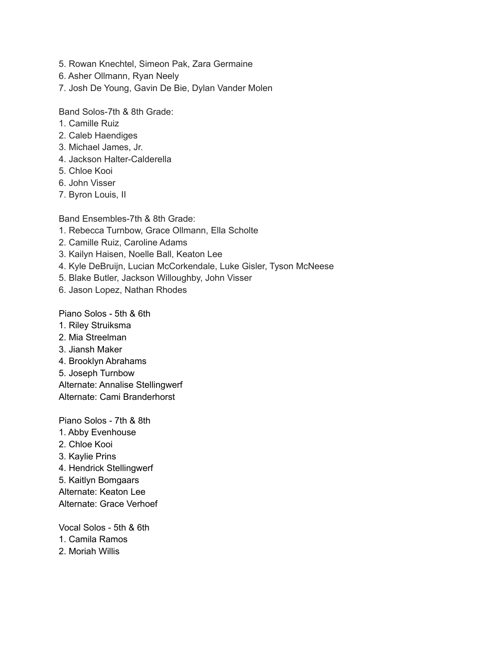- 5. Rowan Knechtel, Simeon Pak, Zara Germaine
- 6. Asher Ollmann, Ryan Neely
- 7. Josh De Young, Gavin De Bie, Dylan Vander Molen

Band Solos-7th & 8th Grade:

- 1. Camille Ruiz
- 2. Caleb Haendiges
- 3. Michael James, Jr.
- 4. Jackson Halter-Calderella
- 5. Chloe Kooi
- 6. John Visser
- 7. Byron Louis, II

Band Ensembles-7th & 8th Grade:

- 1. Rebecca Turnbow, Grace Ollmann, Ella Scholte
- 2. Camille Ruiz, Caroline Adams
- 3. Kailyn Haisen, Noelle Ball, Keaton Lee
- 4. Kyle DeBruijn, Lucian McCorkendale, Luke Gisler, Tyson McNeese
- 5. Blake Butler, Jackson Willoughby, John Visser
- 6. Jason Lopez, Nathan Rhodes

Piano Solos - 5th & 6th

- 1. Riley Struiksma
- 2. Mia Streelman
- 3. Jiansh Maker
- 4. Brooklyn Abrahams
- 5. Joseph Turnbow

Alternate: Annalise Stellingwerf

Alternate: Cami Branderhorst

Piano Solos - 7th & 8th

- 1. Abby Evenhouse
- 2. Chloe Kooi
- 3. Kaylie Prins
- 4. Hendrick Stellingwerf
- 5. Kaitlyn Bomgaars

Alternate: Keaton Lee

Alternate: Grace Verhoef

Vocal Solos - 5th & 6th

- 1. Camila Ramos
- 2. Moriah Willis